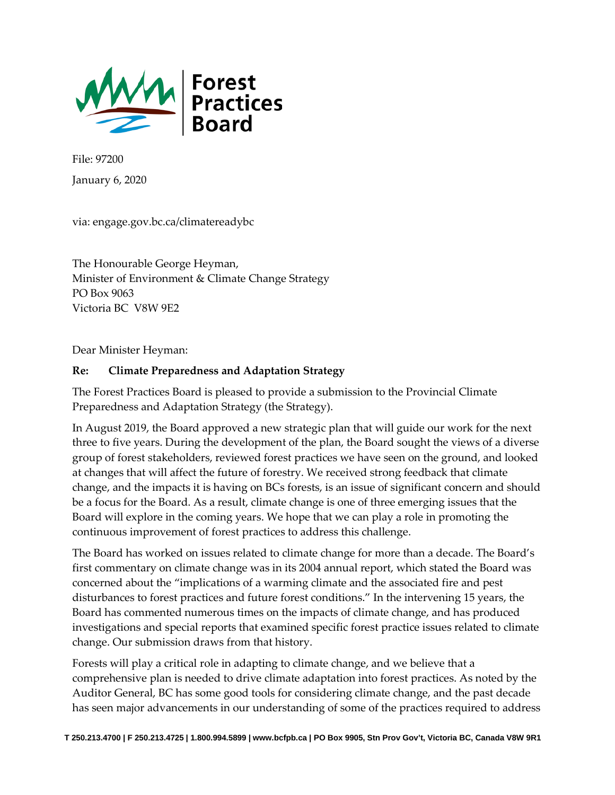

File: 97200 January 6, 2020

via: engage.gov.bc.ca/climatereadybc

The Honourable George Heyman, Minister of Environment & Climate Change Strategy PO Box 9063 Victoria BC V8W 9E2

Dear Minister Heyman:

### **Re: Climate Preparedness and Adaptation Strategy**

The Forest Practices Board is pleased to provide a submission to the Provincial Climate Preparedness and Adaptation Strategy (the Strategy).

In August 2019, the Board approved a new strategic plan that will guide our work for the next three to five years. During the development of the plan, the Board sought the views of a diverse group of forest stakeholders, reviewed forest practices we have seen on the ground, and looked at changes that will affect the future of forestry. We received strong feedback that climate change, and the impacts it is having on BCs forests, is an issue of significant concern and should be a focus for the Board. As a result, climate change is one of three emerging issues that the Board will explore in the coming years. We hope that we can play a role in promoting the continuous improvement of forest practices to address this challenge.

The Board has worked on issues related to climate change for more than a decade. The Board's first commentary on climate change was in its 2004 annual report, which stated the Board was concerned about the "implications of a warming climate and the associated fire and pest disturbances to forest practices and future forest conditions." In the intervening 15 years, the Board has commented numerous times on the impacts of climate change, and has produced investigations and special reports that examined specific forest practice issues related to climate change. Our submission draws from that history.

Forests will play a critical role in adapting to climate change, and we believe that a comprehensive plan is needed to drive climate adaptation into forest practices. As noted by the Auditor General, BC has some good tools for considering climate change, and the past decade has seen major advancements in our understanding of some of the practices required to address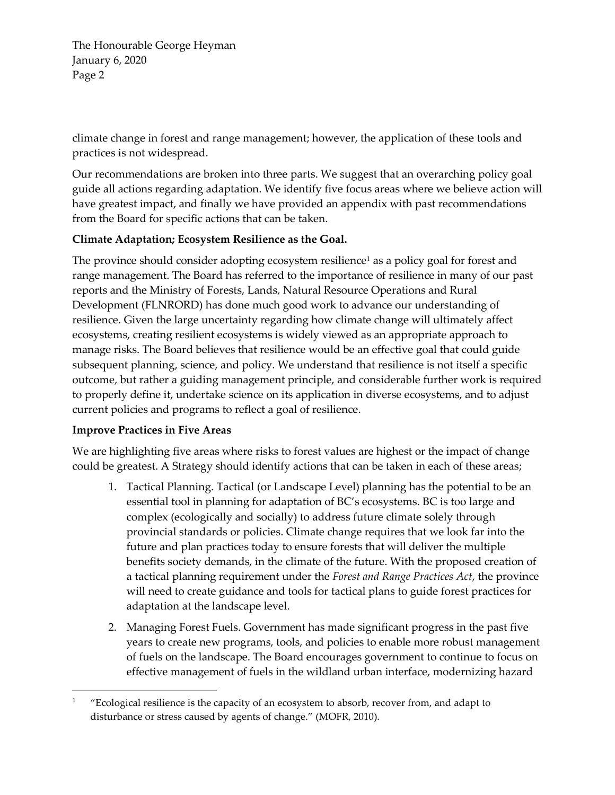The Honourable George Heyman January 6, 2020 Page 2

climate change in forest and range management; however, the application of these tools and practices is not widespread.

Our recommendations are broken into three parts. We suggest that an overarching policy goal guide all actions regarding adaptation. We identify five focus areas where we believe action will have greatest impact, and finally we have provided an appendix with past recommendations from the Board for specific actions that can be taken.

### **Climate Adaptation; Ecosystem Resilience as the Goal.**

The province should consider adopting ecosystem resilience<sup>[1](#page-1-0)</sup> as a policy goal for forest and range management. The Board has referred to the importance of resilience in many of our past reports and the Ministry of Forests, Lands, Natural Resource Operations and Rural Development (FLNRORD) has done much good work to advance our understanding of resilience. Given the large uncertainty regarding how climate change will ultimately affect ecosystems, creating resilient ecosystems is widely viewed as an appropriate approach to manage risks. The Board believes that resilience would be an effective goal that could guide subsequent planning, science, and policy. We understand that resilience is not itself a specific outcome, but rather a guiding management principle, and considerable further work is required to properly define it, undertake science on its application in diverse ecosystems, and to adjust current policies and programs to reflect a goal of resilience.

### **Improve Practices in Five Areas**

 $\overline{a}$ 

We are highlighting five areas where risks to forest values are highest or the impact of change could be greatest. A Strategy should identify actions that can be taken in each of these areas;

- 1. Tactical Planning. Tactical (or Landscape Level) planning has the potential to be an essential tool in planning for adaptation of BC's ecosystems. BC is too large and complex (ecologically and socially) to address future climate solely through provincial standards or policies. Climate change requires that we look far into the future and plan practices today to ensure forests that will deliver the multiple benefits society demands, in the climate of the future. With the proposed creation of a tactical planning requirement under the *Forest and Range Practices Act*, the province will need to create guidance and tools for tactical plans to guide forest practices for adaptation at the landscape level.
- 2. Managing Forest Fuels. Government has made significant progress in the past five years to create new programs, tools, and policies to enable more robust management of fuels on the landscape. The Board encourages government to continue to focus on effective management of fuels in the wildland urban interface, modernizing hazard

<span id="page-1-0"></span><sup>1</sup> "Ecological resilience is the capacity of an ecosystem to absorb, recover from, and adapt to disturbance or stress caused by agents of change." (MOFR, 2010).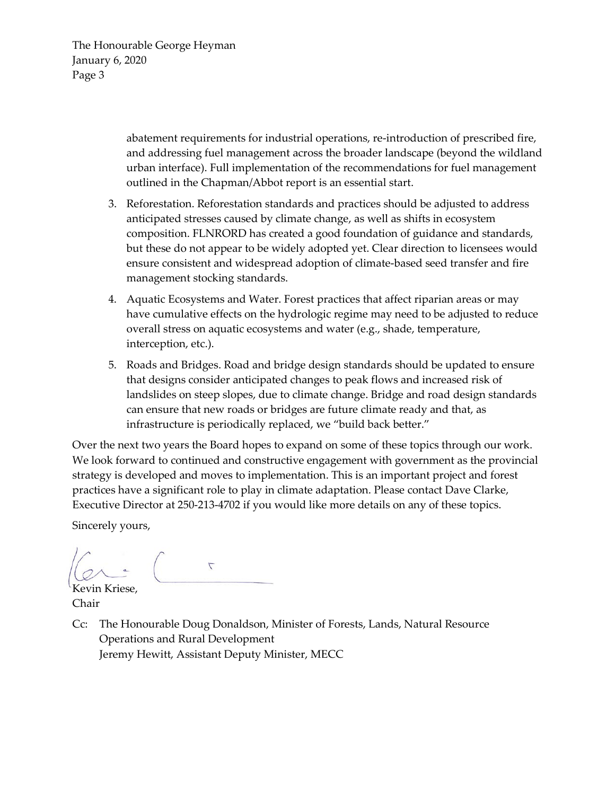The Honourable George Heyman January 6, 2020 Page 3

> abatement requirements for industrial operations, re-introduction of prescribed fire, and addressing fuel management across the broader landscape (beyond the wildland urban interface). Full implementation of the recommendations for fuel management outlined in the Chapman/Abbot report is an essential start.

- 3. Reforestation. Reforestation standards and practices should be adjusted to address anticipated stresses caused by climate change, as well as shifts in ecosystem composition. FLNRORD has created a good foundation of guidance and standards, but these do not appear to be widely adopted yet. Clear direction to licensees would ensure consistent and widespread adoption of climate-based seed transfer and fire management stocking standards.
- 4. Aquatic Ecosystems and Water. Forest practices that affect riparian areas or may have cumulative effects on the hydrologic regime may need to be adjusted to reduce overall stress on aquatic ecosystems and water (e.g., shade, temperature, interception, etc.).
- 5. Roads and Bridges. Road and bridge design standards should be updated to ensure that designs consider anticipated changes to peak flows and increased risk of landslides on steep slopes, due to climate change. Bridge and road design standards can ensure that new roads or bridges are future climate ready and that, as infrastructure is periodically replaced, we "build back better."

Over the next two years the Board hopes to expand on some of these topics through our work. We look forward to continued and constructive engagement with government as the provincial strategy is developed and moves to implementation. This is an important project and forest practices have a significant role to play in climate adaptation. Please contact Dave Clarke, Executive Director at 250-213-4702 if you would like more details on any of these topics.

Sincerely yours,

 $\overline{\phantom{a}}$ 

Kevin Kriese, Chair

Cc: The Honourable Doug Donaldson, Minister of Forests, Lands, Natural Resource Operations and Rural Development Jeremy Hewitt, Assistant Deputy Minister, MECC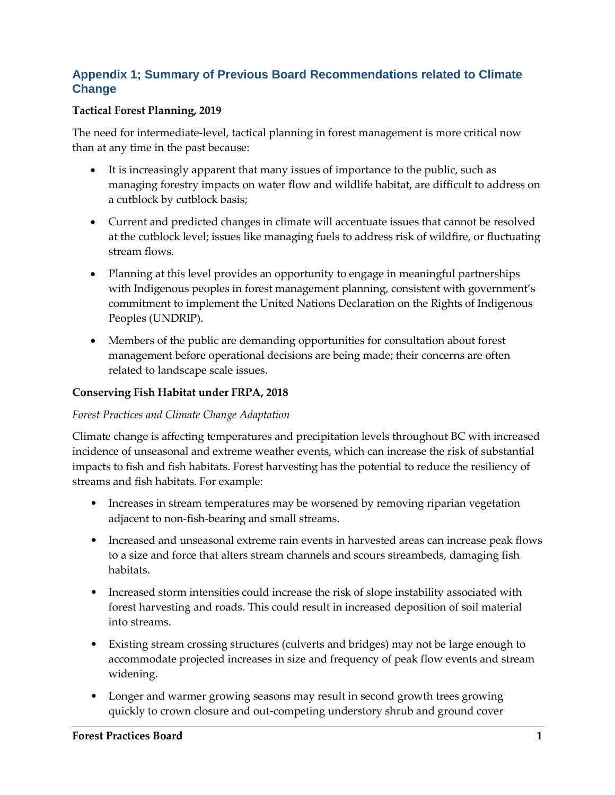# **Appendix 1; Summary of Previous Board Recommendations related to Climate Change**

### **Tactical Forest Planning, 2019**

The need for intermediate-level, tactical planning in forest management is more critical now than at any time in the past because:

- It is increasingly apparent that many issues of importance to the public, such as managing forestry impacts on water flow and wildlife habitat, are difficult to address on a cutblock by cutblock basis;
- Current and predicted changes in climate will accentuate issues that cannot be resolved at the cutblock level; issues like managing fuels to address risk of wildfire, or fluctuating stream flows.
- Planning at this level provides an opportunity to engage in meaningful partnerships with Indigenous peoples in forest management planning, consistent with government's commitment to implement the United Nations Declaration on the Rights of Indigenous Peoples (UNDRIP).
- Members of the public are demanding opportunities for consultation about forest management before operational decisions are being made; their concerns are often related to landscape scale issues.

### **Conserving Fish Habitat under FRPA, 2018**

### *Forest Practices and Climate Change Adaptation*

Climate change is affecting temperatures and precipitation levels throughout BC with increased incidence of unseasonal and extreme weather events, which can increase the risk of substantial impacts to fish and fish habitats. Forest harvesting has the potential to reduce the resiliency of streams and fish habitats. For example:

- Increases in stream temperatures may be worsened by removing riparian vegetation adjacent to non-fish-bearing and small streams.
- Increased and unseasonal extreme rain events in harvested areas can increase peak flows to a size and force that alters stream channels and scours streambeds, damaging fish habitats.
- Increased storm intensities could increase the risk of slope instability associated with forest harvesting and roads. This could result in increased deposition of soil material into streams.
- Existing stream crossing structures (culverts and bridges) may not be large enough to accommodate projected increases in size and frequency of peak flow events and stream widening.
- Longer and warmer growing seasons may result in second growth trees growing quickly to crown closure and out-competing understory shrub and ground cover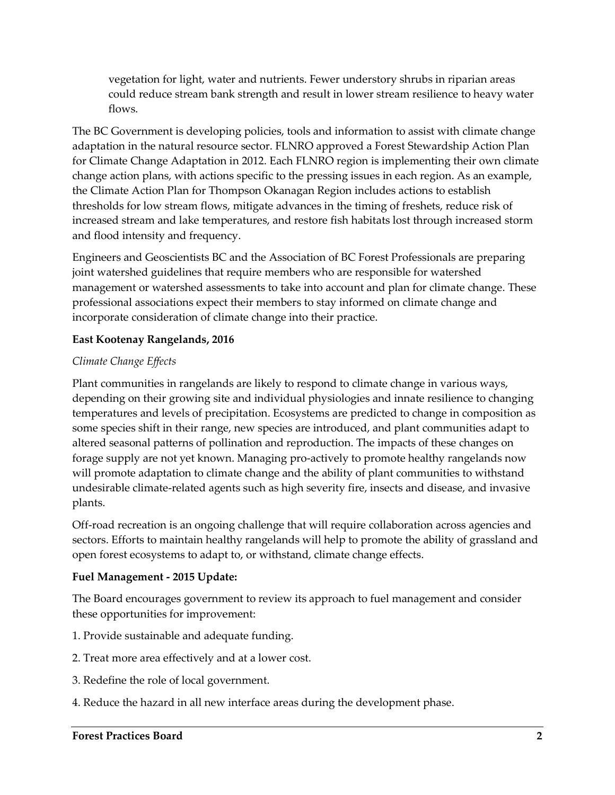vegetation for light, water and nutrients. Fewer understory shrubs in riparian areas could reduce stream bank strength and result in lower stream resilience to heavy water flows.

The BC Government is developing policies, tools and information to assist with climate change adaptation in the natural resource sector. FLNRO approved a Forest Stewardship Action Plan for Climate Change Adaptation in 2012. Each FLNRO region is implementing their own climate change action plans, with actions specific to the pressing issues in each region. As an example, the Climate Action Plan for Thompson Okanagan Region includes actions to establish thresholds for low stream flows, mitigate advances in the timing of freshets, reduce risk of increased stream and lake temperatures, and restore fish habitats lost through increased storm and flood intensity and frequency.

Engineers and Geoscientists BC and the Association of BC Forest Professionals are preparing joint watershed guidelines that require members who are responsible for watershed management or watershed assessments to take into account and plan for climate change. These professional associations expect their members to stay informed on climate change and incorporate consideration of climate change into their practice.

## **East Kootenay Rangelands, 2016**

## *Climate Change Effects*

Plant communities in rangelands are likely to respond to climate change in various ways, depending on their growing site and individual physiologies and innate resilience to changing temperatures and levels of precipitation. Ecosystems are predicted to change in composition as some species shift in their range, new species are introduced, and plant communities adapt to altered seasonal patterns of pollination and reproduction. The impacts of these changes on forage supply are not yet known. Managing pro-actively to promote healthy rangelands now will promote adaptation to climate change and the ability of plant communities to withstand undesirable climate-related agents such as high severity fire, insects and disease, and invasive plants.

Off-road recreation is an ongoing challenge that will require collaboration across agencies and sectors. Efforts to maintain healthy rangelands will help to promote the ability of grassland and open forest ecosystems to adapt to, or withstand, climate change effects.

## **Fuel Management - 2015 Update:**

The Board encourages government to review its approach to fuel management and consider these opportunities for improvement:

- 1. Provide sustainable and adequate funding.
- 2. Treat more area effectively and at a lower cost.
- 3. Redefine the role of local government.
- 4. Reduce the hazard in all new interface areas during the development phase.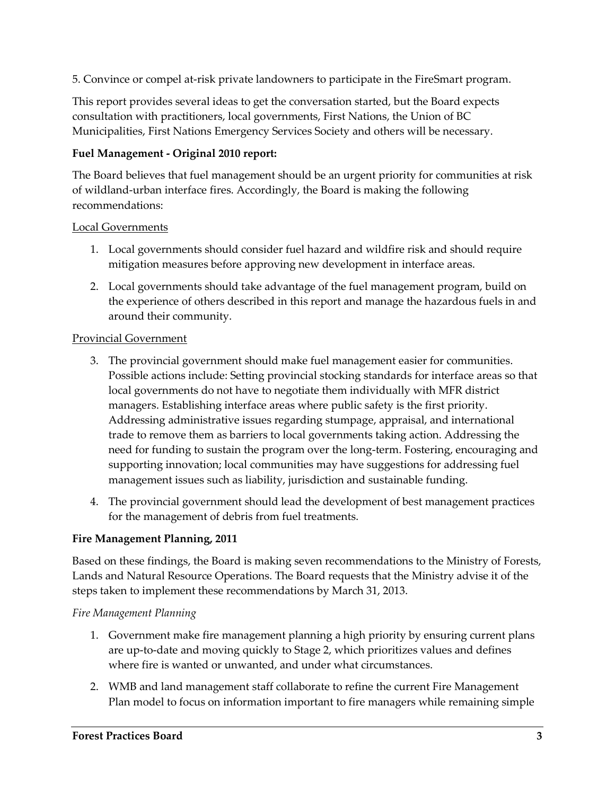5. Convince or compel at-risk private landowners to participate in the FireSmart program.

This report provides several ideas to get the conversation started, but the Board expects consultation with practitioners, local governments, First Nations, the Union of BC Municipalities, First Nations Emergency Services Society and others will be necessary.

## **Fuel Management - Original 2010 report:**

The Board believes that fuel management should be an urgent priority for communities at risk of wildland-urban interface fires. Accordingly, the Board is making the following recommendations:

### Local Governments

- 1. Local governments should consider fuel hazard and wildfire risk and should require mitigation measures before approving new development in interface areas.
- 2. Local governments should take advantage of the fuel management program, build on the experience of others described in this report and manage the hazardous fuels in and around their community.

#### Provincial Government

- 3. The provincial government should make fuel management easier for communities. Possible actions include: Setting provincial stocking standards for interface areas so that local governments do not have to negotiate them individually with MFR district managers. Establishing interface areas where public safety is the first priority. Addressing administrative issues regarding stumpage, appraisal, and international trade to remove them as barriers to local governments taking action. Addressing the need for funding to sustain the program over the long-term. Fostering, encouraging and supporting innovation; local communities may have suggestions for addressing fuel management issues such as liability, jurisdiction and sustainable funding.
- 4. The provincial government should lead the development of best management practices for the management of debris from fuel treatments.

### **Fire Management Planning, 2011**

Based on these findings, the Board is making seven recommendations to the Ministry of Forests, Lands and Natural Resource Operations. The Board requests that the Ministry advise it of the steps taken to implement these recommendations by March 31, 2013.

### *Fire Management Planning*

- 1. Government make fire management planning a high priority by ensuring current plans are up-to-date and moving quickly to Stage 2, which prioritizes values and defines where fire is wanted or unwanted, and under what circumstances.
- 2. WMB and land management staff collaborate to refine the current Fire Management Plan model to focus on information important to fire managers while remaining simple